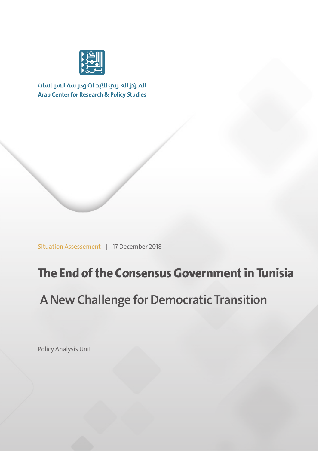

المركز العربب للأبحاث ودراسة السياسات **Arab Center for Research & Policy Studies** 

Situation Assessement | 17 December 2018

# **The End of the Consensus Government in Tunisia**

# **A New Challenge for Democratic Transition**

Policy Analysis Unit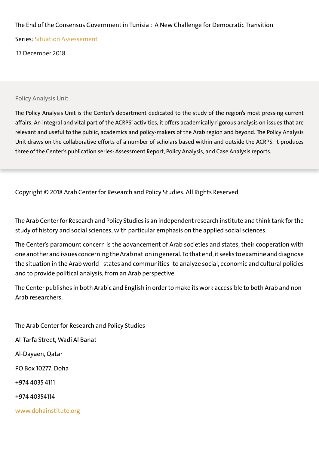#### The End of the Consensus Government in Tunisia : A New Challenge for Democratic Transition

Series: Situation Assessement

17 December 2018

#### Policy Analysis Unit

The Policy Analysis Unit is the Center's department dedicated to the study of the region's most pressing current affairs. An integral and vital part of the ACRPS' activities, it offers academically rigorous analysis on issues that are relevant and useful to the public, academics and policy-makers of the Arab region and beyond. The Policy Analysis Unit draws on the collaborative efforts of a number of scholars based within and outside the ACRPS. It produces three of the Center's publication series: Assessment Report, Policy Analysis, and Case Analysis reports.

Copyright © 2018 Arab Center for Research and Policy Studies. All Rights Reserved.

The Arab Center for Research and Policy Studies is an independent research institute and think tank for the study of history and social sciences, with particular emphasis on the applied social sciences.

The Center's paramount concern is the advancement of Arab societies and states, their cooperation with one another and issues concerning the Arab nation in general. To that end, it seeks to examine and diagnose the situation in the Arab world - states and communities- to analyze social, economic and cultural policies and to provide political analysis, from an Arab perspective.

The Center publishes in both Arabic and English in order to make its work accessible to both Arab and non-Arab researchers.

The Arab Center for Research and Policy Studies Al-Tarfa Street, Wadi Al Banat Al-Dayaen, Qatar PO Box 10277, Doha +974 4035 4111 +974 40354114 www.dohainstitute.org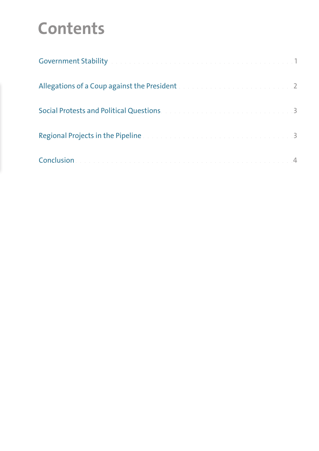# **Contents**

| Government Stability and a construction of the construction of the construction of 1 |  |
|--------------------------------------------------------------------------------------|--|
| Allegations of a Coup against the President and a construction of the control of 2   |  |
| Social Protests and Political Questions. And a substitution of the contract of the 3 |  |
| Regional Projects in the Pipeline and a construction of the construction of 3        |  |
|                                                                                      |  |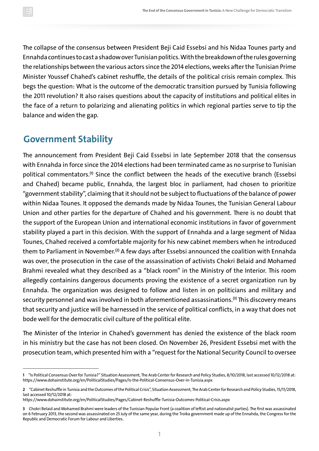The collapse of the consensus between President Beji Caid Essebsi and his Nidaa Tounes party and Ennahda continues to cast a shadow over Tunisian politics.With the breakdown of the rules governing the relationships between the various actors since the 2014 elections, weeks after the Tunisian Prime Minister Youssef Chahed's cabinet reshuffle, the details of the political crisis remain complex. This begs the question: What is the outcome of the democratic transition pursued by Tunisia following the 2011 revolution? It also raises questions about the capacity of institutions and political elites in the face of a return to polarizing and alienating politics in which regional parties serve to tip the balance and widen the gap.

#### **Government Stability**

The announcement from President Beji Caid Essebsi in late September 2018 that the consensus with Ennahda in force since the 2014 elections had been terminated came as no surprise to Tunisian political commentators.<sup>(1)</sup> Since the conflict between the heads of the executive branch (Essebsi and Chahed) became public, Ennahda, the largest bloc in parliament, had chosen to prioritize "government stability", claiming that it should not be subject to fluctuations of the balance of power within Nidaa Tounes. It opposed the demands made by Nidaa Tounes, the Tunisian General Labour Union and other parties for the departure of Chahed and his government. There is no doubt that the support of the European Union and international economic institutions in favor of government stability played a part in this decision. With the support of Ennahda and a large segment of Nidaa Tounes, Chahed received a comfortable majority for his new cabinet members when he introduced them to Parliament in November.<sup>(2)</sup> A few days after Essebsi announced the coalition with was over, the prosecution in the case of the assassination of activists Chokri Belaid and Mohamed Brahmi revealed what they described as a "black room" in the Ministry of the Interior. This room allegedly containins dangerous documents proving the existence of a secret organization run by Ennahda. The organization was designed to follow and listen in on politicians and military and security personnel and was involved in both aforementioned assassinations.<sup>(3)</sup> This discovery m that security and justice will be harnessed in the service of political conflicts, in a way that does not bode well for the democratic civil culture of the political elite.

The Minister of the Interior in Chahed's government has denied the existence of the black room in his ministry but the case has not been closed. On November 26, President Essebsi met with the prosecution team, which presented him with a "request for the National Security Council to oversee

**<sup>1</sup>** "Is Political Consensus Over for Tunisia?" Situation Assessment, The Arab Center for Research and Policy Studies, 8/10/2018, last accessed 10/12/2018 at: https://www.dohainstitute.org/en/PoliticalStudies/Pages/Is-the-Political-Consensus-Over-in-Tunisia.aspx

**<sup>2</sup>** "Cabinet Reshuffle in Tunisia and the Outcomes of the Political Crisis", Situation Assessment, The Arab Center for Research and Policy Studies,15/11/2018, last accessed 10/12/2018 at:

https://www.dohainstitute.org/en/PoliticalStudies/Pages/Cabinet-Reshuffle-Tunisia-Outcomes-Political-Crisis.aspx

**<sup>3</sup>**Chokri Belaid and Mohamed Brahmi were leaders of the Tunisian Popular Front (a coalition of leftist and nationalist parties). The first was assassinated on 6 February 2013, the second was assassinated on 25 July of the same year, during the Troika government made up of the Ennahda, the Congress for the Republic and Democratic Forum for Labour and Liberties.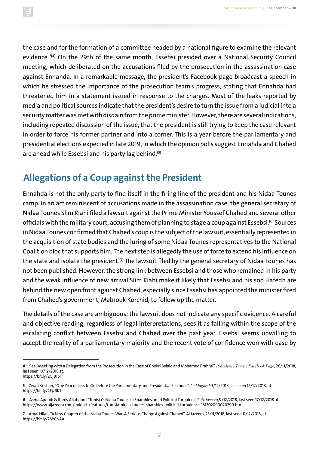the case and for the formation of a committee headed by a national figure to examine the relevant evidence."**(4)** On the 29th of the same month, Essebsi presided over a National Security Council meeting, which deliberated on the accusations filed by the prosecution in the assassination case against Ennahda. In a remarkable message, the president's Facebook page broadcast a speech in which he stressed the importance of the prosecution team's progress, stating that Ennahda had threatened him in a statement issued in response to the charges. Most of the leaks reported by media and political sources indicate that the president's desire to turn the issue from a judicial into a security matter was met with disdain from the prime minister.However, there are several indications, including repeated discussion of the issue, that the president is still trying to keep the case relevant in order to force his former partner and into a corner. This is a year before the parliamentary and presidential elections expected in late 2019, in which the opinion polls suggest Ennahda and Chahed are ahead while Essebsi and his party lag behind. **(5)**

## **Allegations of a Coup against the President**

Ennahda is not the only party to find itself in the firing line of the president and his Nidaa Tounes camp. In an act reminiscent of accusations made in the assassination case, the general secretary of Nidaa Tounes Slim Riahi filed a lawsuit against the Prime Minister Youssef Chahed and several other officials with the military court, accusing them of planning to stage a coup against Essebsi. **(6)** Sources in Nidaa Tounes confirmed that Chahed's coup is the subject of the lawsuit, essentially represented in the acquisition of state bodies and the luring of some Nidaa Tounes representatives to the National Coalition bloc that supports him. The next step is allegedly the use of force to extend his influence on the state and isolate the president.<sup>(7)</sup> The lawsuit filed by the general secretary of Nida not been published. However, the strong link between Essebsi and those who remained in his party and the weak influence of new arrival Slim Riahi make it likely that Essebsi and his son Hafedh are behind the new open front against Chahed, especially since Essebsi has appointed the minister fired from Chahed's government, Mabrouk Korchid, to follow up the matter.

The details of the case are ambiguous; the lawsuit does not indicate any specific evidence. A careful and objective reading, regardless of legal interpretations, sees it as falling within the scope of the escalating conflict between Essebsi and Chahed over the past year. Essebsi seems unwilling to accept the reality of a parliamentary majority and the recent vote of confidence won with ease by

**<sup>4</sup>** See "Meeting with a Delegation from the Prosecution in the Case of Chokri Belaid and Mohamed Brahmi", *Présidence Tunisie Facebook Page*, 26/11/2018, last seen 10/12/2018 at:

https://bit.ly/2GjB1pI

**<sup>5</sup>** Ziyad Krishan, "One Year or Less to Go before the Parliamentary and Presidential Elections", *Le Maghreb* 7/12/2018, last seen 12/12/2018, at: https://bit.ly/2EjzBK1

**<sup>6</sup>** Asma Ajroudi & Ramy Allahoum "Tunisia's Nidaa Tounes in Shambles amid Political Turbulence", *Al Jazeera*,5 /12/2018, last seen 17/12/2018 at: https://www.aljazeera.com/indepth/features/tunisia-nidaa-tounes-shambles-political-turbulence-181202090020299.html

**<sup>7</sup>** Amal Hilali, "A New Chapter of the Nidaa Tounes War. A Serious Charge Against Chahed", Al Jazeera, 25/11/2018, last seen 11/12/2018, at: https://bit.ly/2SPCNAA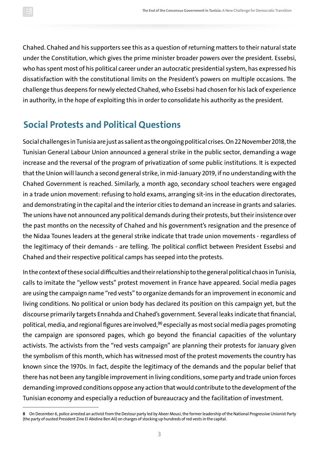Chahed. Chahed and his supporters see this as a question of returning matters to their natural state under the Constitution, which gives the prime minister broader powers over the president. Essebsi, who has spent most of his political career under an autocratic presidential system, has expressed his dissatisfaction with the constitutional limits on the President's powers on multiple occasions. The challenge thus deepens for newly elected Chahed, who Essebsi had chosen for his lack of experience in authority, in the hope of exploiting this in order to consolidate his authority as the president.

### **Social Protests and Political Questions**

Social challenges in Tunisia are just as salient as the ongoingpolitical crises.On 22November 2018, the Tunisian General Labour Union announced a general strike in the public sector, demanding a wage increase and the reversal of the program of privatization of some public institutions. It is expected that the Union will launch a second general strike, in mid-January 2019, if no understanding with the Chahed Government is reached. Similarly, a month ago, secondary school teachers were engaged in a trade union movement: refusing to hold exams, arranging sit-ins in the education directorates, and demonstrating in the capital and the interior cities to demand an increase in grants and salaries. The unions have not announced any political demands during their protests, but their insistence over the past months on the necessity of Chahed and his government's resignation and the presence of the Nidaa Tounes leaders at the general strike indicate that trade union movements - regardless of the legitimacy of their demands - are telling. The political conflict between President Essebsi and Chahed and their respective political camps has seeped into the protests.

In the context of these social difficulties and their relationship to the general political chaos in Tunisia, calls to imitate the "yellow vests" protest movement in France have appeared. Social media pages are using the campaign name "red vests" to organize demands for an improvement in economic and living conditions. No political or union body has declared its position on this campaign yet, but the discourse primarily targets Ennahda and Chahed's government. Several leaks indicate that financial, political, media, and regional figures are involved,<sup>(8)</sup> especially as most social media pages promoting the campaign are sponsored pages, which go beyond the financial capacities of the voluntary activists. The activists from the "red vests campaign" are planning their protests for January given the symbolism of this month, which has witnessed most of the protest movements the country has known since the 1970s. In fact, despite the legitimacy of the demands and the popular belief that there has not been any tangible improvement in living conditions, some party and trade union forces demanding improved conditions oppose any action that would contribute to the development of the Tunisian economy and especially a reduction of bureaucracy and the facilitation of investment.

**<sup>8</sup>** On December 6, police arrested an activist from the Destour party led by Abeer Mousi, the former leadership of the National Progressive Unionist Party (the party of ousted President Zine El Abidine Ben Ali) on charges of stocking up hundreds of red vests in the capital.